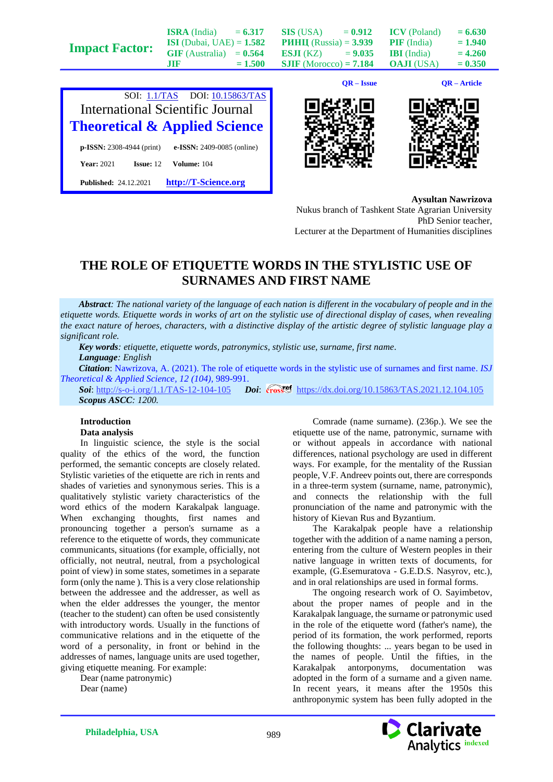|                       |                                   |           |                                 | $QR - Issue$ |                     | QR – Article |
|-----------------------|-----------------------------------|-----------|---------------------------------|--------------|---------------------|--------------|
| <b>Impact Factor:</b> | 1118                              | $= 1.500$ | <b>SJIF</b> (Morocco) = $7.184$ |              | <b>OAJI</b> (USA)   | $= 0.350$    |
|                       | $GIF$ (Australia) = $0.564$       |           | <b>ESJI</b> (KZ) = $9.035$      |              | <b>IBI</b> (India)  | $= 4.260$    |
|                       | <b>ISI</b> (Dubai, UAE) = $1.582$ |           | <b>PHHII</b> (Russia) = $3.939$ |              | <b>PIF</b> (India)  | $= 1.940$    |
|                       | <b>ISRA</b> (India)               | $= 6.317$ | SIS (USA)                       | $= 0.912$    | <b>ICV</b> (Poland) | $= 6.630$    |









**Aysultan Nawrizova**

Nukus branch of Tashkent State Agrarian University PhD Senior teacher, Lecturer at the Department of Humanities disciplines

## **THE ROLE OF ETIQUETTE WORDS IN THE STYLISTIC USE OF SURNAMES AND FIRST NAME**

*Abstract: The national variety of the language of each nation is different in the vocabulary of people and in the etiquette words. Etiquette words in works of art on the stylistic use of directional display of cases, when revealing the exact nature of heroes, characters, with a distinctive display of the artistic degree of stylistic language play a significant role.*

*Key words: etiquette, etiquette words, patronymics, stylistic use, surname, first name. Language: English*

*Citation*: Nawrizova, A. (2021). The role of etiquette words in the stylistic use of surnames and first name. *ISJ Theoretical & Applied Science, 12 (104),* 989-991.

**Soi**[: http://s-o-i.org/1.1/TAS-12-104-105](http://s-o-i.org/1.1/TAS-12-104-105) *Doi: crosset <https://dx.doi.org/10.15863/TAS.2021.12.104.105> Scopus ASCC: 1200.*

## **Introduction Data analysis**

In linguistic science, the style is the social quality of the ethics of the word, the function performed, the semantic concepts are closely related. Stylistic varieties of the etiquette are rich in rents and shades of varieties and synonymous series. This is a qualitatively stylistic variety characteristics of the word ethics of the modern Karakalpak language. When exchanging thoughts, first names and pronouncing together a person's surname as a reference to the etiquette of words, they communicate communicants, situations (for example, officially, not officially, not neutral, neutral, from a psychological point of view) in some states, sometimes in a separate form (only the name ). This is a very close relationship between the addressee and the addresser, as well as when the elder addresses the younger, the mentor (teacher to the student) can often be used consistently with introductory words. Usually in the functions of communicative relations and in the etiquette of the word of a personality, in front or behind in the addresses of names, language units are used together, giving etiquette meaning. For example:

Dear (name patronymic) Dear (name)

Comrade (name surname). (236p.). We see the etiquette use of the name, patronymic, surname with or without appeals in accordance with national differences, national psychology are used in different ways. For example, for the mentality of the Russian people, V.F. Andreev points out, there are corresponds in a three-term system (surname, name, patronymic), and connects the relationship with the full pronunciation of the name and patronymic with the history of Kievan Rus and Byzantium.

The Karakalpak people have a relationship together with the addition of a name naming a person, entering from the culture of Western peoples in their native language in written texts of documents, for example, (G.Esemuratova - G.E.D.S. Nasyrov, etc.), and in oral relationships are used in formal forms.

The ongoing research work of O. Sayimbetov, about the proper names of people and in the Karakalpak language, the surname or patronymic used in the role of the etiquette word (father's name), the period of its formation, the work performed, reports the following thoughts: ... years began to be used in the names of people. Until the fifties, in the Karakalpak antorponyms, documentation was adopted in the form of a surname and a given name. In recent years, it means after the 1950s this anthroponymic system has been fully adopted in the

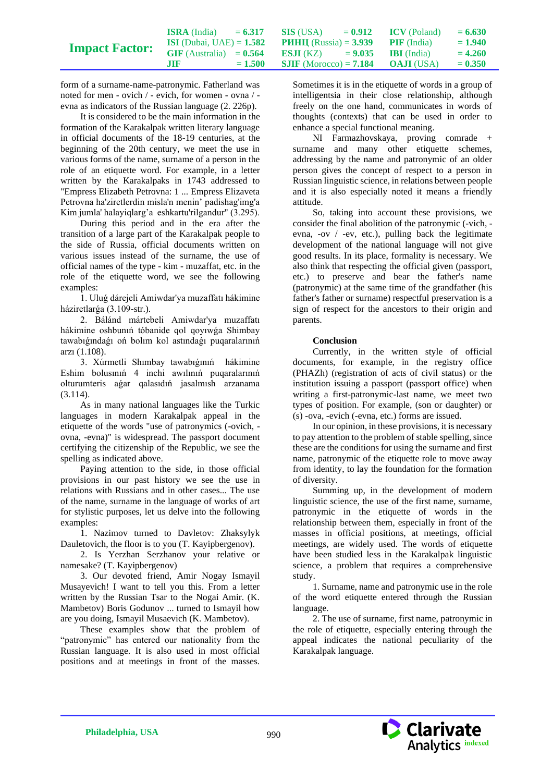|                       | <b>ISRA</b> (India)               | $= 6.317$ | SIS (USA)                                          | $= 0.912$ | <b>ICV</b> (Poland) | $= 6.630$ |
|-----------------------|-----------------------------------|-----------|----------------------------------------------------|-----------|---------------------|-----------|
| <b>Impact Factor:</b> | <b>ISI</b> (Dubai, UAE) = $1.582$ |           | <b>PHHII</b> (Russia) = $3.939$ <b>PIF</b> (India) |           |                     | $= 1.940$ |
|                       | $GIF$ (Australia) = $0.564$       |           | <b>ESJI</b> (KZ) $= 9.035$ <b>IBI</b> (India)      |           |                     | $= 4.260$ |
|                       | .TIF                              | $= 1.500$ | <b>SJIF</b> (Morocco) = <b>7.184 OAJI</b> (USA)    |           |                     | $= 0.350$ |

form of a surname-name-patronymic. Fatherland was noted for men - ovich / - evich, for women - ovna / evna as indicators of the Russian language (2. 226p).

It is considered to be the main information in the formation of the Karakalpak written literary language in official documents of the 18-19 centuries, at the beginning of the 20th century, we meet the use in various forms of the name, surname of a person in the role of an etiquette word. For example, in a letter written by the Karakalpaks in 1743 addressed to "Empress Elizabeth Petrovna: 1 ... Empress Elizaveta Petrovna ha'ziretlerdin misla'n menin' padishag'img'a Kim jumla' halayiqlarg'a eshkartu'rilgandur" (3.295).

During this period and in the era after the transition of a large part of the Karakalpak people to the side of Russia, official documents written on various issues instead of the surname, the use of official names of the type - kim - muzaffat, etc. in the role of the etiquette word, we see the following examples:

1. Uluǵ dárejeli Amiwdar'ya muzaffatı hákimine háziretlarǵa (3.109-str.).

2. Bálánd mártebeli Amiwdar'ya muzaffatı hákimine oshbunıń tóbanide qol qoyıwǵa Shimbay tawabıǵındaǵı oń bolım kol astındaǵı puqaralarınıń arzı (1.108).

3. Xúrmetli Shımbay tawabıǵınıń hákimine Eshim bolusınıń 4 inchi awılınıń puqaralarınıń olturumteris aǵar qalasıdıń jasalmısh arzanama (3.114).

As in many national languages like the Turkic languages in modern Karakalpak appeal in the etiquette of the words "use of patronymics (-ovich, ovna, -evna)" is widespread. The passport document certifying the citizenship of the Republic, we see the spelling as indicated above.

Paying attention to the side, in those official provisions in our past history we see the use in relations with Russians and in other cases... The use of the name, surname in the language of works of art for stylistic purposes, let us delve into the following examples:

1. Nazimov turned to Davletov: Zhaksylyk Dauletovich, the floor is to you (T. Kayipbergenov).

2. Is Yerzhan Serzhanov your relative or namesake? (T. Kayipbergenov)

3. Our devoted friend, Amir Nogay Ismayil Musayevich! I want to tell you this. From a letter written by the Russian Tsar to the Nogai Amir. (K. Mambetov) Boris Godunov ... turned to Ismayil how are you doing, Ismayil Musaevich (K. Mambetov).

These examples show that the problem of "patronymic" has entered our nationality from the Russian language. It is also used in most official positions and at meetings in front of the masses.

Sometimes it is in the etiquette of words in a group of intelligentsia in their close relationship, although freely on the one hand, communicates in words of thoughts (contexts) that can be used in order to enhance a special functional meaning.

NI Farmazhovskaya, proving comrade + surname and many other etiquette schemes, addressing by the name and patronymic of an older person gives the concept of respect to a person in Russian linguistic science, in relations between people and it is also especially noted it means a friendly attitude.

So, taking into account these provisions, we consider the final abolition of the patronymic (-vich, evna, -ov / -ev, etc.), pulling back the legitimate development of the national language will not give good results. In its place, formality is necessary. We also think that respecting the official given (passport, etc.) to preserve and bear the father's name (patronymic) at the same time of the grandfather (his father's father or surname) respectful preservation is a sign of respect for the ancestors to their origin and parents.

## **Conclusion**

Currently, in the written style of official documents, for example, in the registry office (PHAZh) (registration of acts of civil status) or the institution issuing a passport (passport office) when writing a first-patronymic-last name, we meet two types of position. For example, (son or daughter) or (s) -ova, -evich (-evna, etc.) forms are issued.

In our opinion, in these provisions, it is necessary to pay attention to the problem of stable spelling, since these are the conditions for using the surname and first name, patronymic of the etiquette role to move away from identity, to lay the foundation for the formation of diversity.

Summing up, in the development of modern linguistic science, the use of the first name, surname, patronymic in the etiquette of words in the relationship between them, especially in front of the masses in official positions, at meetings, official meetings, are widely used. The words of etiquette have been studied less in the Karakalpak linguistic science, a problem that requires a comprehensive study.

1. Surname, name and patronymic use in the role of the word etiquette entered through the Russian language.

2. The use of surname, first name, patronymic in the role of etiquette, especially entering through the appeal indicates the national peculiarity of the Karakalpak language.

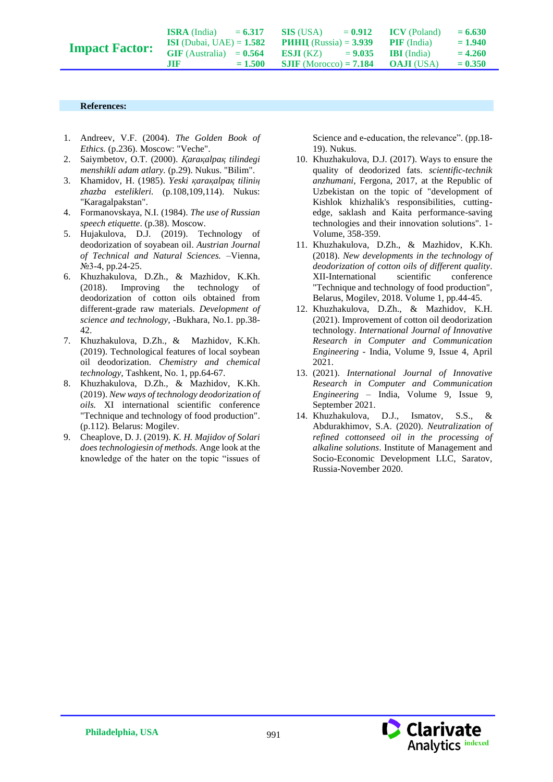**SIS** (USA)  $= 0.912$ **РИНЦ** (Russia) = **3.939 ESJI** (KZ)  $= 9.035$ **SJIF** (Morocco) **= 7.184**  $ICV$  (Poland)  $= 6.630$ **PIF** (India)  $= 1.940$ **IBI** (India)  $= 4.260$ **OAJI** (USA)  $= 0.350$ 

## **References:**

- 1. Andreev, V.F. (2004). *The Golden Book of Ethics.* (p.236). Moscow: "Veche".
- 2. Saiymbetov, O.T. (2000). *Қaraқalpaқ tilindegi menshikli adam atlary.* (p.29). Nukus. "Bilim".
- 3. Khamidov, H. (1985). *Yeski қaraқalpaқ tiliniң zhazba estelikleri.* (p.108,109,114). Nukus: "Karagalpakstan".
- 4. Formanovskaya, N.I. (1984). *The use of Russian speech etiquette*. (p.38). Moscow.
- 5. Hujakulova, D.J. (2019). Technology of deodorization of soyabean oil. *Austrian Journal of Technical and Natural Sciences.* –Vienna, №3-4, pp.24-25.
- 6. Khuzhakulova, D.Zh., & Mazhidov, K.Kh. (2018). Improving the technology of deodorization of cotton oils obtained from different-grade raw materials. *Development of science and technology*, -Bukhara, No.1. pp.38- 42.
- 7. Khuzhakulova, D.Zh., & Mazhidov, K.Kh. (2019). Technological features of local soybean oil deodorization. *Chemistry and chemical technology,* Tashkent, No. 1, pp.64-67.
- 8. Khuzhakulova, D.Zh., & Mazhidov, K.Kh. (2019). *New ways of technology deodorization of oils.* XI international scientific conference "Technique and technology of food production". (p.112). Belarus: Mogilev.
- 9. Cheaplove, D. J. (2019). *K. H. Majidov of Solari does technologiesin of methods.* Ange look at the knowledge of the hater on the topic "issues of

Science and e-education, the relevance". (pp.18- 19). Nukus.

- 10. Khuzhakulova, D.J. (2017). Ways to ensure the quality of deodorized fats. *scientific-technik anzhumani,* Fergona, 2017, at the Republic of Uzbekistan on the topic of "development of Kishlok khizhalik's responsibilities, cuttingedge, saklash and Kaita performance-saving technologies and their innovation solutions". 1- Volume, 358-359.
- 11. Khuzhakulova, D.Zh., & Mazhidov, K.Kh. (2018). *New developments in the technology of deodorization of cotton oils of different quality*. XII-International scientific conference "Technique and technology of food production", Belarus, Mogilev, 2018. Volume 1, pp.44-45.
- 12. Khuzhakulova, D.Zh., & Mazhidov, K.H. (2021). Improvement of cotton oil deodorization technology. *International Journal of Innovative Research in Computer and Communication Engineering* - India, Volume 9, Issue 4, April 2021.
- 13. (2021). *International Journal of Innovative Research in Computer and Communication Engineering –* India, Volume 9, Issue 9, September 2021.
- 14. Khuzhakulova, D.J., Ismatov, S.S., & Abdurakhimov, S.A. (2020). *Neutralization of refined cottonseed oil in the processing of alkaline solutions*. Institute of Management and Socio-Economic Development LLC, Saratov, Russia-November 2020.